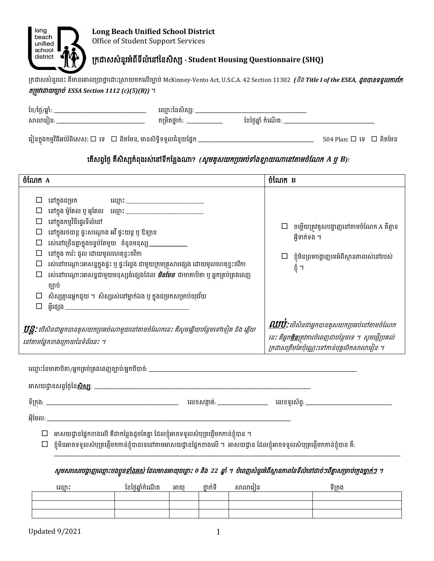

## ក្រដាសសំនរួអពំ ទី លី ំនៅននសិសស **- Student Housing Questionnaire (SHQ)**

ក្រដាសសំនួរនេះ គឺមានគោលប្រាថ្នាដោះស្រាយមកលើច្បាប់ McKinney-Vento Act, U.S.C.A. 42 Section 11302 *(និង Title I of the ESEA, ដូចបានទទួលការកែ* តក្មូវនដាយច្បាប់ *ESSA Section 1112 (c)(5)(B))* ។

| ខែ/ថ្ងៃ/ឆ្នាំ:                                                        | ឈ្មោះនៃសិស្ស:_             |                         |                                     |  |
|-----------------------------------------------------------------------|----------------------------|-------------------------|-------------------------------------|--|
| សាលារៀន: _________________                                            | កម្រិតថ្នាក់: ____________ | ខែថ្ងៃឆ្នាំ កំណើត: ____ |                                     |  |
| ារៀនក្នុងកម្មវិធីអប់រំពិសេស: □ ទេ   □ ពិតមែន, មានសិទ្ធិទទួលជំនួយផ្នែក |                            |                         | $504$ Plan: $\Box$ ig $\Box$ ពិតមែន |  |

នើសព្វថ្ងៃ គឺសិស្សកំពុងរស់នៅទីកន្លែងណា? *(សូមគូសយកប្រអប់ទាំងឡាយណានៅតាមចំណែក A ឬ B):* 

| ចំណែក A                                                                                                                                           |                                                                                                                                                                                                                                                                                                                                                                                                                                                                                                           |                  |                                                                                                                                                                                  |          |         | ចំណែក B                 |                                                                                                    |
|---------------------------------------------------------------------------------------------------------------------------------------------------|-----------------------------------------------------------------------------------------------------------------------------------------------------------------------------------------------------------------------------------------------------------------------------------------------------------------------------------------------------------------------------------------------------------------------------------------------------------------------------------------------------------|------------------|----------------------------------------------------------------------------------------------------------------------------------------------------------------------------------|----------|---------|-------------------------|----------------------------------------------------------------------------------------------------|
| $\Box$<br>$\Box$                                                                                                                                  | $\square$ នៅក្នុងជម្រក<br>$\square$ នៅក្នុងកម្មវិធីផ្ទេរទីលំនៅ<br>នៅក្នុងរថយន្ត ផ្ទះសណ្តោង អវី ផ្ទះយន្ត ឬ ឱទ្យាន<br>រស់នៅច្រើនគ្នាក្នុងបន្ទប់តែមួយ ចំនួនមនុស្ស ____________<br>នៅក្នុង ការ៉ះ ជួល ដោយមូលហេតុខ្វះថវិកា<br>$\Box$ រស់នៅបណ្តោះអាសន្នក្នុងផ្ទះ ឬ ផ្ទះល្វែង ជាមួយក្រុមគ្រួសារផ្សេង ដោយមូលហេតុខ្វះថវិកា<br>$\Box$ រស់នៅបណ្តោះអាសន្នជាមួយមនុស្សធំផ្សេងដែល <i><b>មិនមែន</b></i> ជាមាតាបិតា ឬ អ្នកគ្រប់គ្រងពេញ<br>ច្បាប់<br>$\Box$ សិស្សគ្មានអ្នកជួយ ។ សិស្សរស់នៅម្នាក់ឯង ឬ ក្នុងជម្រកសម្រាប់យុវវ័យ |                  |                                                                                                                                                                                  |          |         | អ្វីទាក់ទង ។<br>ខ្ញុំ ។ | $\Box$ ចម្លើយត្រវគូសបង្ហាញនៅតាមចំណែក A គឺគ្មាន<br>$\Box$ ខ្ញុំមិនព្រមបង្ហាញទេអំពីស្ថានភាពរស់នៅរបស់ |
| <mark>ឋន្ត្</mark> ទ: បើសិនជាអ្នកបានគូសយកប្រអប់ណាមួយនៅតាមចំណែកនេះ គឺសូមឆ្លើយបន្ថែមទៅទៀត និង ឆ្លើយ<br>នៅតាមផ្នែកខាងក្រោយនៃទំព័រនេះ ។               |                                                                                                                                                                                                                                                                                                                                                                                                                                                                                                           |                  | <mark>ួ ឈើបំ</mark> : បើសិនជាអ្នកបានគូសយកប្រអប់នៅតាមចំណែក<br>នេះ គឺអ្នក <mark>មិន</mark> ត្រូវការបំពេញជាបន្ថែមទេ ។ សូមឆ្ញើប្រគល់<br>ក្រដាសត្រឹមតែប៉ុណ្ណេះទៅកាន់បុគ្គលិកសាលារៀន ។ |          |         |                         |                                                                                                    |
|                                                                                                                                                   |                                                                                                                                                                                                                                                                                                                                                                                                                                                                                                           |                  |                                                                                                                                                                                  |          |         |                         |                                                                                                    |
|                                                                                                                                                   |                                                                                                                                                                                                                                                                                                                                                                                                                                                                                                           |                  |                                                                                                                                                                                  |          |         |                         |                                                                                                    |
| $\Box$                                                                                                                                            | $\Box$ អាសយដ្ធានផ្នែកខាងលើ គឺជាកន្លែងដូចតែគ្នា ដែលខ្ញុំអាចទទួលសំបុត្រផ្ញើមកកាន់ខ្ញុំបាន ។<br>ខ្ញុំមិនអាចទទួលសំបុត្រផ្ញើមកកាន់ខ្ញុំបានទេនៅតាមអាសយដ្ធានផ្នែកខាងលើ ។  អាសយដ្ធាន ដែលខ្ញុំអាចទទួលសំបុត្រផ្ញើមកកាន់ខ្ញុំបាន គឺ:                                                                                                                                                                                                                                                                                 |                  |                                                                                                                                                                                  |          |         |                         |                                                                                                    |
| សូមសាសោបង្ហាញឈ្មោះបងប្អូន <u>ទាំងអស់</u> ដែលមានអាយុចន្លោះ ០ និង 22 ឆ្នាំ ។ បំពេញសំនូរអំពីស្ថានភាពនៃទីលំនៅដាច់ៗពីគ្នាសម្រាប់ក្មេង <u>ម្នាក់ៗ</u> ។ |                                                                                                                                                                                                                                                                                                                                                                                                                                                                                                           |                  |                                                                                                                                                                                  |          |         |                         |                                                                                                    |
|                                                                                                                                                   | ឈ្មោះ                                                                                                                                                                                                                                                                                                                                                                                                                                                                                                     | ខែថ្ងៃឆ្នាំកំណើត | អាយុ                                                                                                                                                                             | ថ្នាក់ទី | សាលារៀន |                         | ទីក្រង                                                                                             |
|                                                                                                                                                   |                                                                                                                                                                                                                                                                                                                                                                                                                                                                                                           |                  |                                                                                                                                                                                  |          |         |                         |                                                                                                    |
|                                                                                                                                                   |                                                                                                                                                                                                                                                                                                                                                                                                                                                                                                           |                  |                                                                                                                                                                                  |          |         |                         |                                                                                                    |